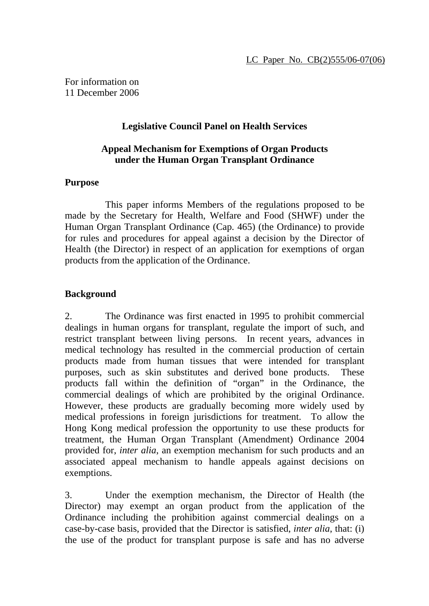For information on 11 December 2006

## **Legislative Council Panel on Health Services**

## **Appeal Mechanism for Exemptions of Organ Products under the Human Organ Transplant Ordinance**

## **Purpose**

 This paper informs Members of the regulations proposed to be made by the Secretary for Health, Welfare and Food (SHWF) under the Human Organ Transplant Ordinance (Cap. 465) (the Ordinance) to provide for rules and procedures for appeal against a decision by the Director of Health (the Director) in respect of an application for exemptions of organ products from the application of the Ordinance.

# **Background**

2. The Ordinance was first enacted in 1995 to prohibit commercial dealings in human organs for transplant, regulate the import of such, and restrict transplant between living persons. In recent years, advances in medical technology has resulted in the commercial production of certain products made from human tissues that were intended for transplant purposes, such as skin substitutes and derived bone products. These products fall within the definition of "organ" in the Ordinance, the commercial dealings of which are prohibited by the original Ordinance. However, these products are gradually becoming more widely used by medical professions in foreign jurisdictions for treatment. To allow the Hong Kong medical profession the opportunity to use these products for treatment, the Human Organ Transplant (Amendment) Ordinance 2004 provided for, *inter alia*, an exemption mechanism for such products and an associated appeal mechanism to handle appeals against decisions on exemptions.

3. Under the exemption mechanism, the Director of Health (the Director) may exempt an organ product from the application of the Ordinance including the prohibition against commercial dealings on a case-by-case basis, provided that the Director is satisfied, *inter alia*, that: (i) the use of the product for transplant purpose is safe and has no adverse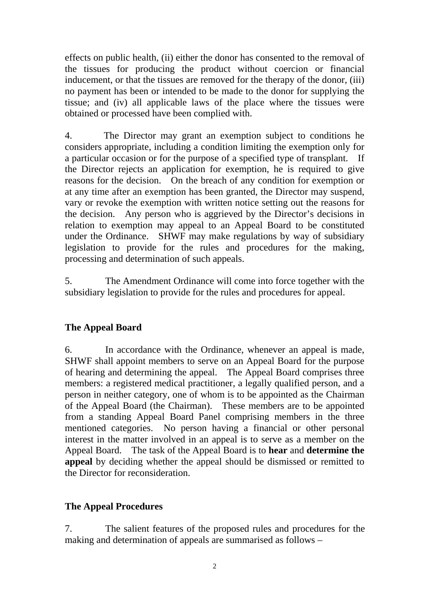effects on public health, (ii) either the donor has consented to the removal of the tissues for producing the product without coercion or financial inducement, or that the tissues are removed for the therapy of the donor, (iii) no payment has been or intended to be made to the donor for supplying the tissue; and (iv) all applicable laws of the place where the tissues were obtained or processed have been complied with.

4. The Director may grant an exemption subject to conditions he considers appropriate, including a condition limiting the exemption only for a particular occasion or for the purpose of a specified type of transplant. If the Director rejects an application for exemption, he is required to give reasons for the decision. On the breach of any condition for exemption or at any time after an exemption has been granted, the Director may suspend, vary or revoke the exemption with written notice setting out the reasons for the decision. Any person who is aggrieved by the Director's decisions in relation to exemption may appeal to an Appeal Board to be constituted under the Ordinance. SHWF may make regulations by way of subsidiary legislation to provide for the rules and procedures for the making, processing and determination of such appeals.

5. The Amendment Ordinance will come into force together with the subsidiary legislation to provide for the rules and procedures for appeal.

# **The Appeal Board**

6. In accordance with the Ordinance, whenever an appeal is made, SHWF shall appoint members to serve on an Appeal Board for the purpose of hearing and determining the appeal. The Appeal Board comprises three members: a registered medical practitioner, a legally qualified person, and a person in neither category, one of whom is to be appointed as the Chairman of the Appeal Board (the Chairman). These members are to be appointed from a standing Appeal Board Panel comprising members in the three mentioned categories. No person having a financial or other personal interest in the matter involved in an appeal is to serve as a member on the Appeal Board. The task of the Appeal Board is to **hear** and **determine the appeal** by deciding whether the appeal should be dismissed or remitted to the Director for reconsideration.

# **The Appeal Procedures**

7. The salient features of the proposed rules and procedures for the making and determination of appeals are summarised as follows –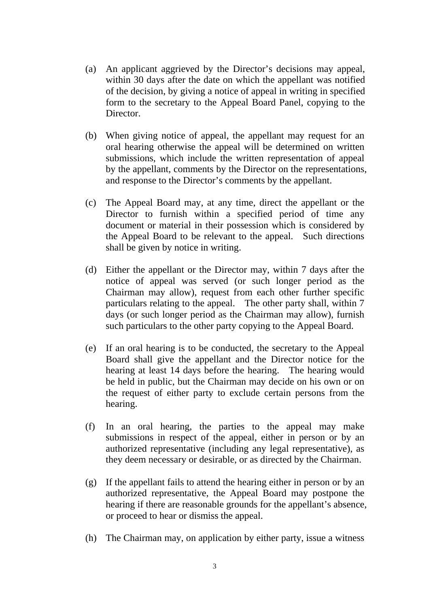- (a) An applicant aggrieved by the Director's decisions may appeal, within 30 days after the date on which the appellant was notified of the decision, by giving a notice of appeal in writing in specified form to the secretary to the Appeal Board Panel, copying to the Director.
- (b) When giving notice of appeal, the appellant may request for an oral hearing otherwise the appeal will be determined on written submissions, which include the written representation of appeal by the appellant, comments by the Director on the representations, and response to the Director's comments by the appellant.
- (c) The Appeal Board may, at any time, direct the appellant or the Director to furnish within a specified period of time any document or material in their possession which is considered by the Appeal Board to be relevant to the appeal. Such directions shall be given by notice in writing.
- (d) Either the appellant or the Director may, within 7 days after the notice of appeal was served (or such longer period as the Chairman may allow), request from each other further specific particulars relating to the appeal. The other party shall, within 7 days (or such longer period as the Chairman may allow), furnish such particulars to the other party copying to the Appeal Board.
- (e) If an oral hearing is to be conducted, the secretary to the Appeal Board shall give the appellant and the Director notice for the hearing at least 14 days before the hearing. The hearing would be held in public, but the Chairman may decide on his own or on the request of either party to exclude certain persons from the hearing.
- (f) In an oral hearing, the parties to the appeal may make submissions in respect of the appeal, either in person or by an authorized representative (including any legal representative), as they deem necessary or desirable, or as directed by the Chairman.
- (g) If the appellant fails to attend the hearing either in person or by an authorized representative, the Appeal Board may postpone the hearing if there are reasonable grounds for the appellant's absence, or proceed to hear or dismiss the appeal.
- (h) The Chairman may, on application by either party, issue a witness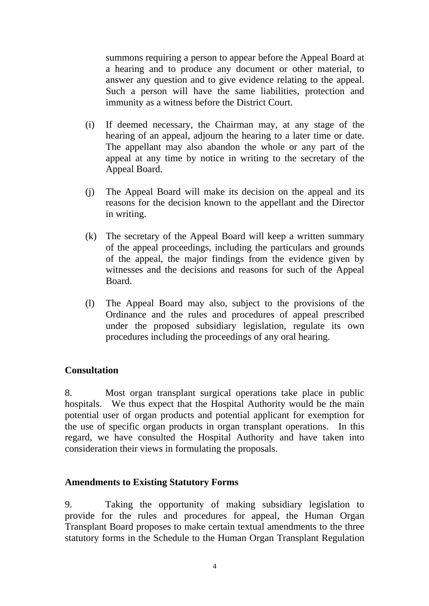summons requiring a person to appear before the Appeal Board at a hearing and to produce any document or other material, to answer any question and to give evidence relating to the appeal. Such a person will have the same liabilities, protection and immunity as a witness before the District Court.

- (i) If deemed necessary, the Chairman may, at any stage of the hearing of an appeal, adjourn the hearing to a later time or date. The appellant may also abandon the whole or any part of the appeal at any time by notice in writing to the secretary of the Appeal Board.
- (j) The Appeal Board will make its decision on the appeal and its reasons for the decision known to the appellant and the Director in writing.
- (k) The secretary of the Appeal Board will keep a written summary of the appeal proceedings, including the particulars and grounds of the appeal, the major findings from the evidence given by witnesses and the decisions and reasons for such of the Appeal Board.
- (l) The Appeal Board may also, subject to the provisions of the Ordinance and the rules and procedures of appeal prescribed under the proposed subsidiary legislation, regulate its own procedures including the proceedings of any oral hearing.

#### **Consultation**

8. Most organ transplant surgical operations take place in public hospitals. We thus expect that the Hospital Authority would be the main potential user of organ products and potential applicant for exemption for the use of specific organ products in organ transplant operations. In this regard, we have consulted the Hospital Authority and have taken into consideration their views in formulating the proposals.

#### **Amendments to Existing Statutory Forms**

9. Taking the opportunity of making subsidiary legislation to provide for the rules and procedures for appeal, the Human Organ Transplant Board proposes to make certain textual amendments to the three statutory forms in the Schedule to the Human Organ Transplant Regulation